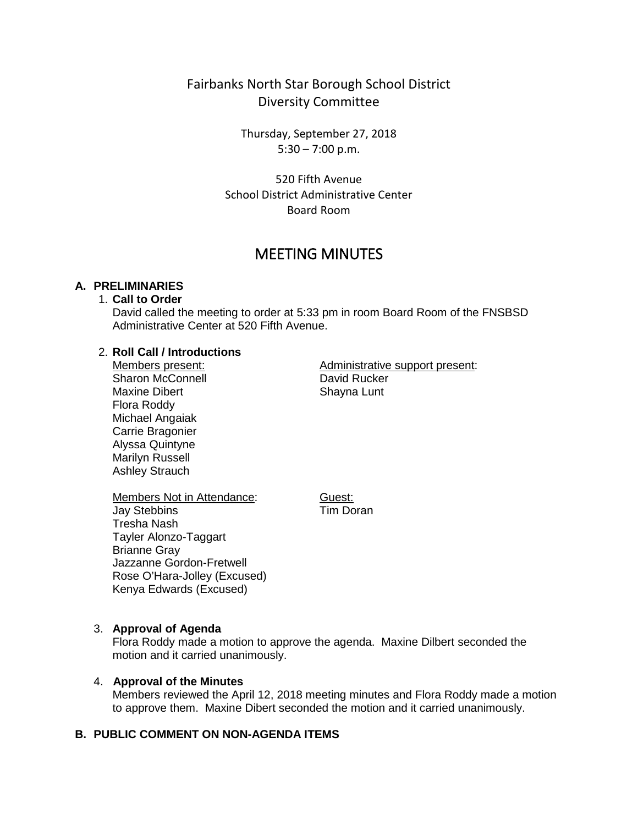# Fairbanks North Star Borough School District Diversity Committee

Thursday, September 27, 2018 5:30 – 7:00 p.m.

520 Fifth Avenue School District Administrative Center Board Room

# MEETING MINUTES

## **A. PRELIMINARIES**

# 1. **Call to Order**

David called the meeting to order at 5:33 pm in room Board Room of the FNSBSD Administrative Center at 520 Fifth Avenue.

#### 2. **Roll Call / Introductions**

Members present: Sharon McConnell Maxine Dibert Flora Roddy Michael Angaiak Carrie Bragonier Alyssa Quintyne Marilyn Russell Ashley Strauch

Administrative support present: David Rucker Shayna Lunt

Members Not in Attendance: Jay Stebbins Tresha Nash Tayler Alonzo-Taggart Brianne Gray Jazzanne Gordon-Fretwell Rose O'Hara-Jolley (Excused) Kenya Edwards (Excused)

Guest: Tim Doran

#### 3. **Approval of Agenda**

Flora Roddy made a motion to approve the agenda. Maxine Dilbert seconded the motion and it carried unanimously.

#### 4. **Approval of the Minutes**

Members reviewed the April 12, 2018 meeting minutes and Flora Roddy made a motion to approve them. Maxine Dibert seconded the motion and it carried unanimously.

#### **B. PUBLIC COMMENT ON NON-AGENDA ITEMS**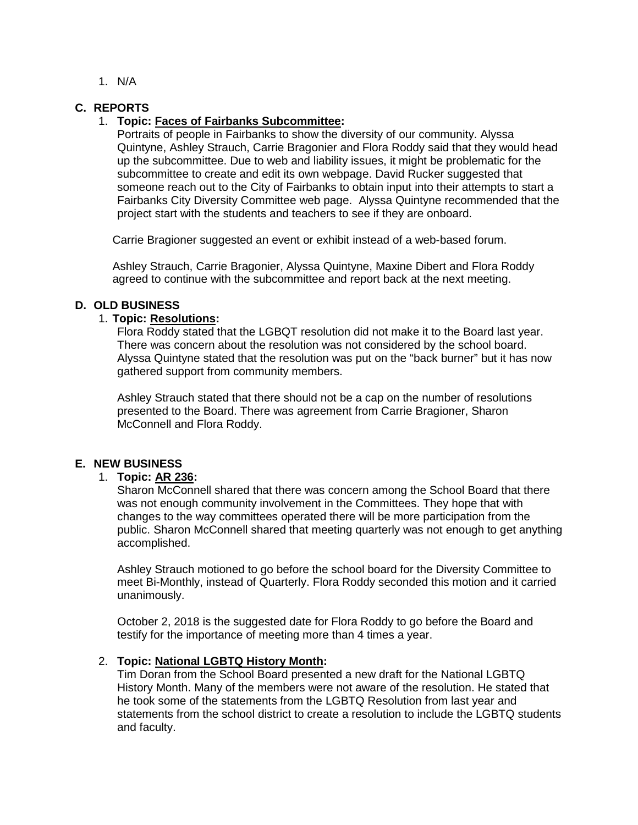1. N/A

#### **C. REPORTS**

#### 1. **Topic: Faces of Fairbanks Subcommittee:**

Portraits of people in Fairbanks to show the diversity of our community. Alyssa Quintyne, Ashley Strauch, Carrie Bragonier and Flora Roddy said that they would head up the subcommittee. Due to web and liability issues, it might be problematic for the subcommittee to create and edit its own webpage. David Rucker suggested that someone reach out to the City of Fairbanks to obtain input into their attempts to start a Fairbanks City Diversity Committee web page. Alyssa Quintyne recommended that the project start with the students and teachers to see if they are onboard.

Carrie Bragioner suggested an event or exhibit instead of a web-based forum.

Ashley Strauch, Carrie Bragonier, Alyssa Quintyne, Maxine Dibert and Flora Roddy agreed to continue with the subcommittee and report back at the next meeting.

#### **D. OLD BUSINESS**

#### 1. **Topic: Resolutions:**

Flora Roddy stated that the LGBQT resolution did not make it to the Board last year. There was concern about the resolution was not considered by the school board. Alyssa Quintyne stated that the resolution was put on the "back burner" but it has now gathered support from community members.

Ashley Strauch stated that there should not be a cap on the number of resolutions presented to the Board. There was agreement from Carrie Bragioner, Sharon McConnell and Flora Roddy.

## **E. NEW BUSINESS**

## 1. **Topic: AR 236:**

Sharon McConnell shared that there was concern among the School Board that there was not enough community involvement in the Committees. They hope that with changes to the way committees operated there will be more participation from the public. Sharon McConnell shared that meeting quarterly was not enough to get anything accomplished.

Ashley Strauch motioned to go before the school board for the Diversity Committee to meet Bi-Monthly, instead of Quarterly. Flora Roddy seconded this motion and it carried unanimously.

October 2, 2018 is the suggested date for Flora Roddy to go before the Board and testify for the importance of meeting more than 4 times a year.

## 2. **Topic: National LGBTQ History Month:**

Tim Doran from the School Board presented a new draft for the National LGBTQ History Month. Many of the members were not aware of the resolution. He stated that he took some of the statements from the LGBTQ Resolution from last year and statements from the school district to create a resolution to include the LGBTQ students and faculty.